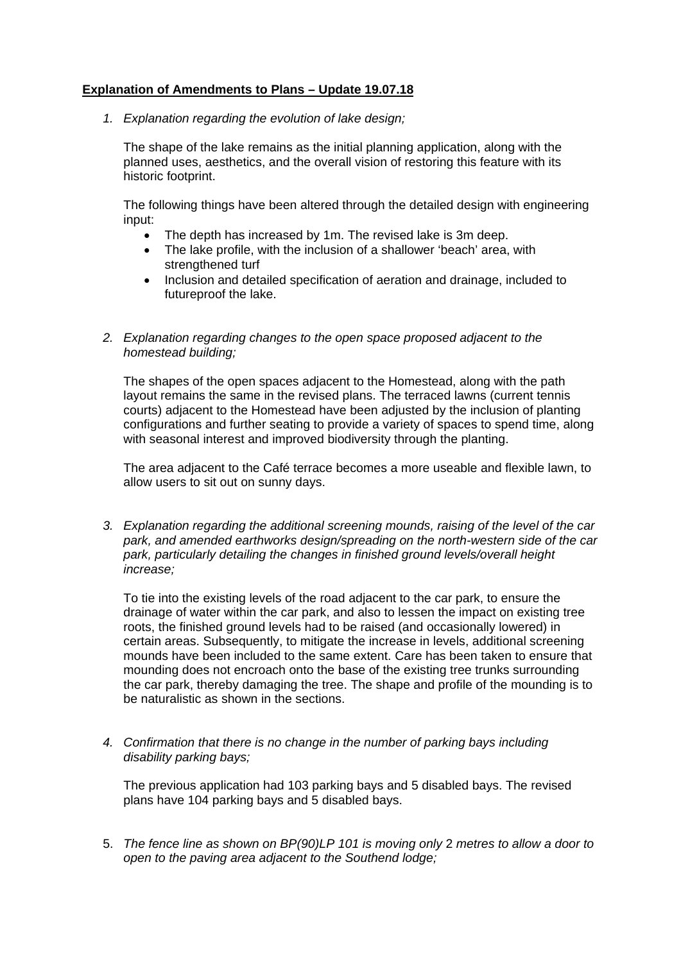## **Explanation of Amendments to Plans – Update 19.07.18**

*1. Explanation regarding the evolution of lake design;* 

The shape of the lake remains as the initial planning application, along with the planned uses, aesthetics, and the overall vision of restoring this feature with its historic footprint.

The following things have been altered through the detailed design with engineering input:

- The depth has increased by 1m. The revised lake is 3m deep.
- The lake profile, with the inclusion of a shallower 'beach' area, with strengthened turf
- Inclusion and detailed specification of aeration and drainage, included to futureproof the lake.
- *2. Explanation regarding changes to the open space proposed adjacent to the homestead building;*

The shapes of the open spaces adjacent to the Homestead, along with the path layout remains the same in the revised plans. The terraced lawns (current tennis courts) adjacent to the Homestead have been adjusted by the inclusion of planting configurations and further seating to provide a variety of spaces to spend time, along with seasonal interest and improved biodiversity through the planting.

The area adjacent to the Café terrace becomes a more useable and flexible lawn, to allow users to sit out on sunny days.

*3. Explanation regarding the additional screening mounds, raising of the level of the car park, and amended earthworks design/spreading on the north-western side of the car park, particularly detailing the changes in finished ground levels/overall height increase;* 

To tie into the existing levels of the road adjacent to the car park, to ensure the drainage of water within the car park, and also to lessen the impact on existing tree roots, the finished ground levels had to be raised (and occasionally lowered) in certain areas. Subsequently, to mitigate the increase in levels, additional screening mounds have been included to the same extent. Care has been taken to ensure that mounding does not encroach onto the base of the existing tree trunks surrounding the car park, thereby damaging the tree. The shape and profile of the mounding is to be naturalistic as shown in the sections.

*4. Confirmation that there is no change in the number of parking bays including disability parking bays;* 

The previous application had 103 parking bays and 5 disabled bays. The revised plans have 104 parking bays and 5 disabled bays.

5. *The fence line as shown on BP(90)LP 101 is moving only* 2 *metres to allow a door to open to the paving area adjacent to the Southend lodge;*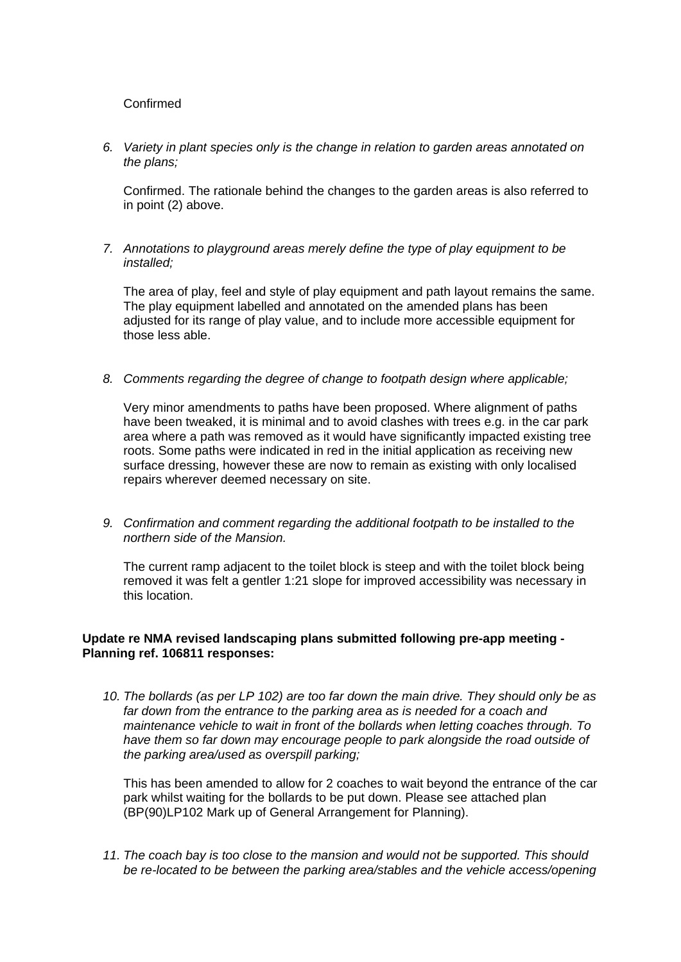## Confirmed

*6. Variety in plant species only is the change in relation to garden areas annotated on the plans;* 

Confirmed. The rationale behind the changes to the garden areas is also referred to in point (2) above.

*7. Annotations to playground areas merely define the type of play equipment to be installed;* 

The area of play, feel and style of play equipment and path layout remains the same. The play equipment labelled and annotated on the amended plans has been adjusted for its range of play value, and to include more accessible equipment for those less able.

*8. Comments regarding the degree of change to footpath design where applicable;* 

Very minor amendments to paths have been proposed. Where alignment of paths have been tweaked, it is minimal and to avoid clashes with trees e.g. in the car park area where a path was removed as it would have significantly impacted existing tree roots. Some paths were indicated in red in the initial application as receiving new surface dressing, however these are now to remain as existing with only localised repairs wherever deemed necessary on site.

*9. Confirmation and comment regarding the additional footpath to be installed to the northern side of the Mansion.* 

The current ramp adjacent to the toilet block is steep and with the toilet block being removed it was felt a gentler 1:21 slope for improved accessibility was necessary in this location.

## **Update re NMA revised landscaping plans submitted following pre-app meeting - Planning ref. 106811 responses:**

*10. The bollards (as per LP 102) are too far down the main drive. They should only be as*  far down from the entrance to the parking area as is needed for a coach and *maintenance vehicle to wait in front of the bollards when letting coaches through. To*  have them so far down may encourage people to park alongside the road outside of *the parking area/used as overspill parking;* 

This has been amended to allow for 2 coaches to wait beyond the entrance of the car park whilst waiting for the bollards to be put down. Please see attached plan (BP(90)LP102 Mark up of General Arrangement for Planning).

*11. The coach bay is too close to the mansion and would not be supported. This should be re-located to be between the parking area/stables and the vehicle access/opening*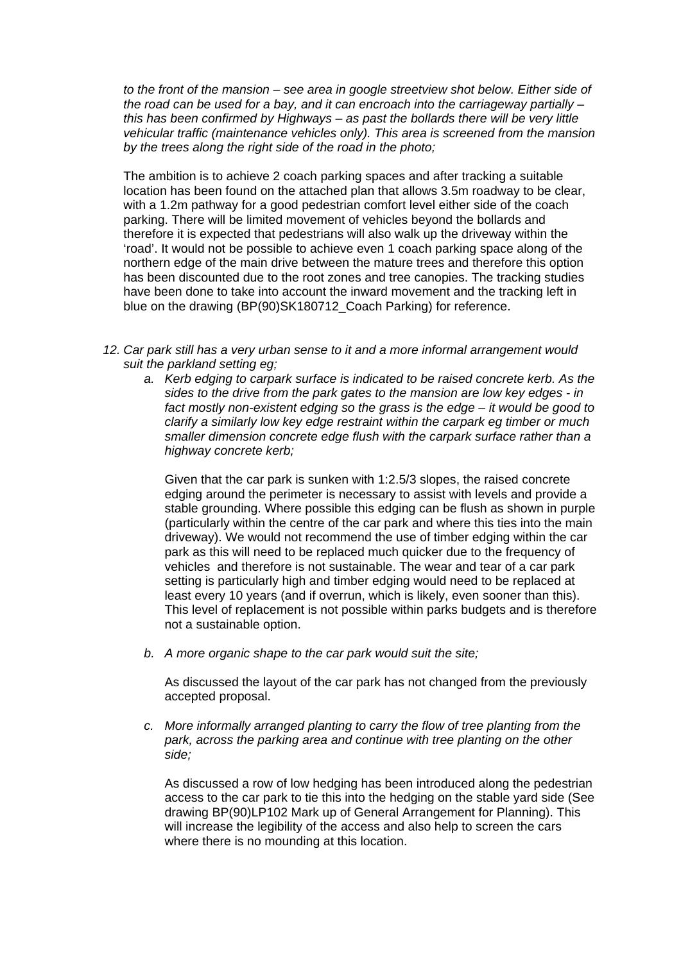*to the front of the mansion – see area in google streetview shot below. Either side of the road can be used for a bay, and it can encroach into the carriageway partially – this has been confirmed by Highways – as past the bollards there will be very little vehicular traffic (maintenance vehicles only). This area is screened from the mansion by the trees along the right side of the road in the photo;* 

The ambition is to achieve 2 coach parking spaces and after tracking a suitable location has been found on the attached plan that allows 3.5m roadway to be clear, with a 1.2m pathway for a good pedestrian comfort level either side of the coach parking. There will be limited movement of vehicles beyond the bollards and therefore it is expected that pedestrians will also walk up the driveway within the 'road'. It would not be possible to achieve even 1 coach parking space along of the northern edge of the main drive between the mature trees and therefore this option has been discounted due to the root zones and tree canopies. The tracking studies have been done to take into account the inward movement and the tracking left in blue on the drawing (BP(90)SK180712 Coach Parking) for reference.

- *12. Car park still has a very urban sense to it and a more informal arrangement would suit the parkland setting eg;* 
	- *a. Kerb edging to carpark surface is indicated to be raised concrete kerb. As the sides to the drive from the park gates to the mansion are low key edges - in fact mostly non-existent edging so the grass is the edge – it would be good to clarify a similarly low key edge restraint within the carpark eg timber or much smaller dimension concrete edge flush with the carpark surface rather than a highway concrete kerb;*

Given that the car park is sunken with 1:2.5/3 slopes, the raised concrete edging around the perimeter is necessary to assist with levels and provide a stable grounding. Where possible this edging can be flush as shown in purple (particularly within the centre of the car park and where this ties into the main driveway). We would not recommend the use of timber edging within the car park as this will need to be replaced much quicker due to the frequency of vehicles and therefore is not sustainable. The wear and tear of a car park setting is particularly high and timber edging would need to be replaced at least every 10 years (and if overrun, which is likely, even sooner than this). This level of replacement is not possible within parks budgets and is therefore not a sustainable option.

*b. A more organic shape to the car park would suit the site;* 

As discussed the layout of the car park has not changed from the previously accepted proposal.

*c. More informally arranged planting to carry the flow of tree planting from the park, across the parking area and continue with tree planting on the other side;* 

As discussed a row of low hedging has been introduced along the pedestrian access to the car park to tie this into the hedging on the stable yard side (See drawing BP(90)LP102 Mark up of General Arrangement for Planning). This will increase the legibility of the access and also help to screen the cars where there is no mounding at this location.